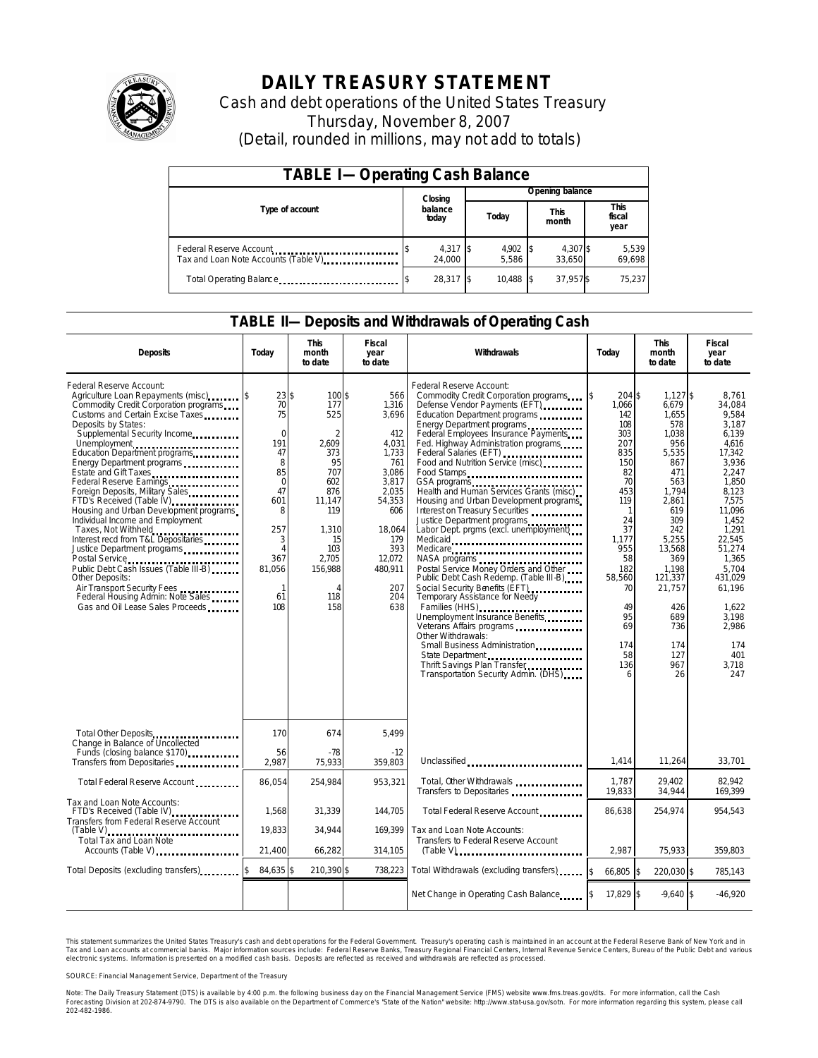

# **DAILY TREASURY STATEMENT**

Cash and debt operations of the United States Treasury Thursday, November 8, 2007 (Detail, rounded in millions, may not add to totals)

| <b>TABLE I-Operating Cash Balance</b> |  |                      |  |                     |  |                      |  |                        |  |
|---------------------------------------|--|----------------------|--|---------------------|--|----------------------|--|------------------------|--|
|                                       |  | Closing              |  | Opening balance     |  |                      |  |                        |  |
| Type of account                       |  | balance<br>today     |  | Today               |  | <b>This</b><br>month |  | This<br>fiscal<br>year |  |
| Tax and Loan Note Accounts (Table V). |  | $4,317$ \$<br>24.000 |  | $4,902$ \$<br>5.586 |  | 4,307\$<br>33.650    |  | 5,539<br>69,698        |  |
| Total Operating Balance               |  | 28.317 \$            |  | 10.488              |  | 37.957\$             |  | 75.237                 |  |

## **TABLE II—Deposits and Withdrawals of Operating Cash**

| <b>Deposits</b>                                                                                                                                                                                                                                                                                                                                                                                                                                                                                                                                                                                                                                                                                                                        | Today                                                                                                                                                                | <b>This</b><br>month<br>to date                                                                                                                           | <b>Fiscal</b><br>year<br>to date                                                                                                                                    | Withdrawals                                                                                                                                                                                                                                                                                                                                                                                                                                                                                                                                                                                                                                                                                                                                                                                                                                                                                                                                                  | Today                                                                                                                                                                                                           | <b>This</b><br>month<br>to date                                                                                                                                                                                                  | <b>Fiscal</b><br>year<br>to date                                                                                                                                                                                                                           |
|----------------------------------------------------------------------------------------------------------------------------------------------------------------------------------------------------------------------------------------------------------------------------------------------------------------------------------------------------------------------------------------------------------------------------------------------------------------------------------------------------------------------------------------------------------------------------------------------------------------------------------------------------------------------------------------------------------------------------------------|----------------------------------------------------------------------------------------------------------------------------------------------------------------------|-----------------------------------------------------------------------------------------------------------------------------------------------------------|---------------------------------------------------------------------------------------------------------------------------------------------------------------------|--------------------------------------------------------------------------------------------------------------------------------------------------------------------------------------------------------------------------------------------------------------------------------------------------------------------------------------------------------------------------------------------------------------------------------------------------------------------------------------------------------------------------------------------------------------------------------------------------------------------------------------------------------------------------------------------------------------------------------------------------------------------------------------------------------------------------------------------------------------------------------------------------------------------------------------------------------------|-----------------------------------------------------------------------------------------------------------------------------------------------------------------------------------------------------------------|----------------------------------------------------------------------------------------------------------------------------------------------------------------------------------------------------------------------------------|------------------------------------------------------------------------------------------------------------------------------------------------------------------------------------------------------------------------------------------------------------|
| Federal Reserve Account:<br>Agriculture Loan Repayments (misc)<br>Commodity Credit Corporation programs<br>Customs and Certain Excise Taxes<br>Deposits by States:<br>Supplemental Security Income<br>Education Department programs<br>Energy Department programs<br>Estate and Gift Taxes<br>Federal Reserve Earnings<br>Foreign Deposits, Military Sales<br>FTD's Received (Table IV)<br>Housing and Urban Development programs<br>Individual Income and Employment<br>Taxes, Not Withheld<br>Interest recd from T&L Depositaries<br>Justice Department programs<br>Public Debt Cash Issues (Table III-B)<br>Other Deposits:<br>Air Transport Security Fees<br>Federal Housing Admin: Note Sales<br>Gas and Oil Lease Sales Proceeds | $23$ \$<br>70<br>75<br>$\mathbf 0$<br>191<br>47<br>8<br>85<br>$\Omega$<br>47<br>601<br>8<br>257<br>3<br>$\overline{4}$<br>367<br>81,056<br>$\mathbf{1}$<br>61<br>108 | 100\$<br>177<br>525<br>$\overline{2}$<br>2,609<br>373<br>95<br>707<br>602<br>876<br>11.147<br>119<br>1,310<br>15<br>103<br>2,705<br>156,988<br>118<br>158 | 566<br>1,316<br>3,696<br>412<br>4,031<br>1.733<br>761<br>3,086<br>3.817<br>2.035<br>54,353<br>606<br>18,064<br>179<br>393<br>12,072<br>480,911<br>207<br>204<br>638 | Federal Reserve Account:<br>Commodity Credit Corporation programs<br>Defense Vendor Payments (EFT)<br>Education Department programs<br>Energy Department programs<br>Federal Employees Insurance Payments<br>Fed. Highway Administration programs<br>Federal Salaries (EFT)<br>Food and Nutrition Service (misc)<br>Food Stamps<br>GSA programs<br>Health and Human Services Grants (misc)<br>Housing and Urban Development programs<br>Interest on Treasury Securities<br>Justice Department programs<br>Labor Dept. prgms (excl. unemployment)<br>Medicaid<br>Medicare<br>NASA programs<br>Postal Service Money Orders and Other<br>Public Debt Cash Redemp. (Table III-B)<br>Social Security Benefits (EFT)<br><br>Temporary Assistance for Needy<br>Families (HHS)<br>Unemployment Insurance Benefits<br>Other Withdrawals:<br>Small Business Administration<br>State Department<br>Thrift Savings Plan Transfer<br>Transportation Security Admin. (DHS) | \$<br>204 \$<br>1,066<br>142<br>108<br>303<br>207<br>835<br>150<br>82<br>70<br>453<br>119<br>1<br>24<br>37<br>1,177<br>955<br>58<br>182<br>58,560<br>70<br>49<br>95<br>69<br>174<br>58<br>136<br>$\overline{a}$ | $1.127$ \$<br>6,679<br>1,655<br>578<br>1,038<br>956<br>5,535<br>867<br>471<br>563<br>1.794<br>2,861<br>619<br>309<br>242<br>5,255<br>13,568<br>369<br>1.198<br>121,337<br>21,757<br>426<br>689<br>736<br>174<br>127<br>967<br>26 | 8.761<br>34,084<br>9.584<br>3.187<br>6,139<br>4.616<br>17.342<br>3,936<br>2.247<br>1.850<br>8.123<br>7,575<br>11,096<br>1,452<br>1,291<br>22,545<br>51.274<br>1.365<br>5.704<br>431,029<br>61,196<br>1.622<br>3.198<br>2,986<br>174<br>401<br>3.718<br>247 |
| Total Other Deposits<br>Change in Balance of Uncollected<br>Funds (closing balance \$170)<br>Funds (closing balance \$170)                                                                                                                                                                                                                                                                                                                                                                                                                                                                                                                                                                                                             | 170<br>56                                                                                                                                                            | 674<br>$-78$                                                                                                                                              | 5,499<br>$-12$                                                                                                                                                      |                                                                                                                                                                                                                                                                                                                                                                                                                                                                                                                                                                                                                                                                                                                                                                                                                                                                                                                                                              |                                                                                                                                                                                                                 |                                                                                                                                                                                                                                  |                                                                                                                                                                                                                                                            |
| Transfers from Depositaries                                                                                                                                                                                                                                                                                                                                                                                                                                                                                                                                                                                                                                                                                                            | 2,987                                                                                                                                                                | 75,933                                                                                                                                                    | 359,803                                                                                                                                                             | Unclassified                                                                                                                                                                                                                                                                                                                                                                                                                                                                                                                                                                                                                                                                                                                                                                                                                                                                                                                                                 | 1,414<br>1,787                                                                                                                                                                                                  | 11,264                                                                                                                                                                                                                           | 33,701                                                                                                                                                                                                                                                     |
| Total Federal Reserve Account<br>Tax and Loan Note Accounts:                                                                                                                                                                                                                                                                                                                                                                                                                                                                                                                                                                                                                                                                           | 86,054                                                                                                                                                               | 254,984                                                                                                                                                   | 953,321                                                                                                                                                             | Total, Oher Withdrawals<br>Transfers to Depositaries                                                                                                                                                                                                                                                                                                                                                                                                                                                                                                                                                                                                                                                                                                                                                                                                                                                                                                         | 19,833                                                                                                                                                                                                          | 29,402<br>34,944                                                                                                                                                                                                                 | 82,942<br>169,399                                                                                                                                                                                                                                          |
| FTD's Received (Table IV)<br>Transfers from Federal Reserve Account                                                                                                                                                                                                                                                                                                                                                                                                                                                                                                                                                                                                                                                                    | 1,568                                                                                                                                                                | 31,339                                                                                                                                                    | 144,705                                                                                                                                                             | Total Federal Reserve Account                                                                                                                                                                                                                                                                                                                                                                                                                                                                                                                                                                                                                                                                                                                                                                                                                                                                                                                                | 86,638                                                                                                                                                                                                          | 254,974                                                                                                                                                                                                                          | 954,543                                                                                                                                                                                                                                                    |
| $(Table V)$<br>Total Tax and Loan Note<br>Accounts (Table V)                                                                                                                                                                                                                                                                                                                                                                                                                                                                                                                                                                                                                                                                           | 19,833<br>21,400                                                                                                                                                     | 34.944<br>66,282                                                                                                                                          | 169.399<br>314,105                                                                                                                                                  | Tax and Loan Note Accounts:<br>Transfers to Federal Reserve Account                                                                                                                                                                                                                                                                                                                                                                                                                                                                                                                                                                                                                                                                                                                                                                                                                                                                                          | 2,987                                                                                                                                                                                                           | 75,933                                                                                                                                                                                                                           | 359.803                                                                                                                                                                                                                                                    |
| Total Deposits (excluding transfers)                                                                                                                                                                                                                                                                                                                                                                                                                                                                                                                                                                                                                                                                                                   | 84,635 \$                                                                                                                                                            | 210,390 \$                                                                                                                                                | 738,223                                                                                                                                                             | Total Withdrawals (excluding transfers)                                                                                                                                                                                                                                                                                                                                                                                                                                                                                                                                                                                                                                                                                                                                                                                                                                                                                                                      | 66,805 \$<br><sup>\$</sup>                                                                                                                                                                                      | 220.030 \$                                                                                                                                                                                                                       | 785.143                                                                                                                                                                                                                                                    |
|                                                                                                                                                                                                                                                                                                                                                                                                                                                                                                                                                                                                                                                                                                                                        |                                                                                                                                                                      |                                                                                                                                                           |                                                                                                                                                                     | Net Change in Operating Cash Balance                                                                                                                                                                                                                                                                                                                                                                                                                                                                                                                                                                                                                                                                                                                                                                                                                                                                                                                         | 17,829 \$                                                                                                                                                                                                       | $9,640$ \$                                                                                                                                                                                                                       | $-46,920$                                                                                                                                                                                                                                                  |

This statement summarizes the United States Treasury's cash and debt operations for the Federal Government. Treasury's operating cash is maintained in an account at the Federal Reserve Bank of New York and in Tax and Loan accounts at commercial banks. Major information sources include: Federal Reserve Banks, Treasury Regional Financial Centers, Internal Revenue Service Centers, Bureau of the Public Debt and various<br>electronic s

SOURCE: Financial Management Service, Department of the Treasury

Note: The Daily Treasury Statement (DTS) is available by 4:00 p.m. the following business day on the Financial Management Service (FMS) website www.fms.treas.gov/dts.<br>Forecasting Division at 202-874-9790. The DTS is also a 'S) is available by 4:00 p.m. the following business day on the Financial Management Service (FMS) website www.fms.treas.gov/dts. For more information, call the Cash<br>The DTS is also available on the Department of Commerce'